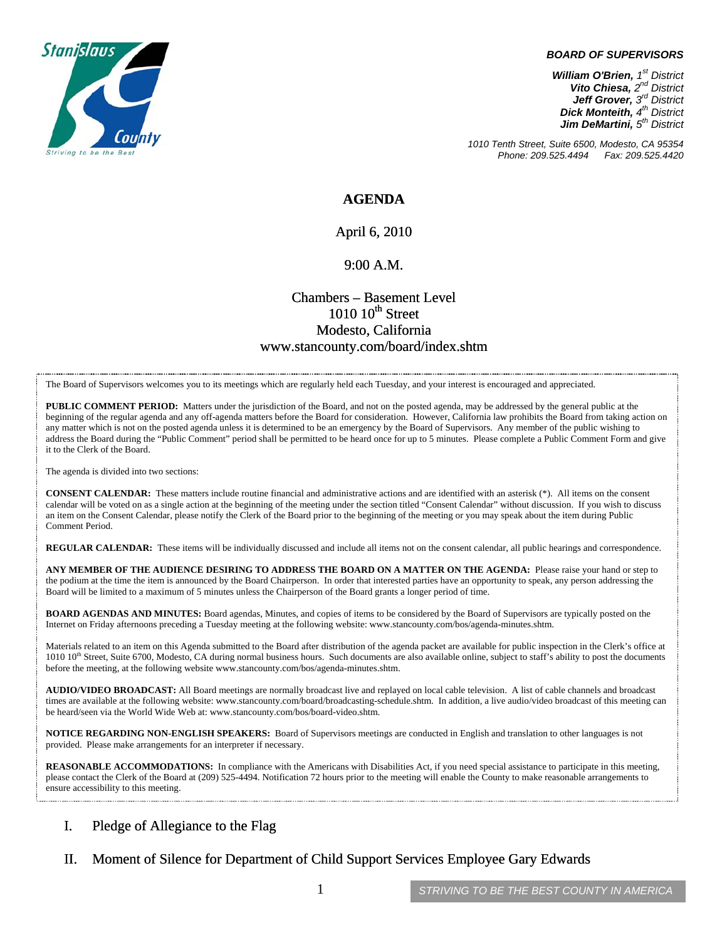

#### *BOARD OF SUPERVISORS*

*William O'Brien, 1st District Vito Chiesa, 2nd District Jeff Grover, 3rd District Dick Monteith, 4th District Jim DeMartini, 5th District*

*1010 Tenth Street, Suite 6500, Modesto, CA 95354 Phone: 209.525.4494 Fax: 209.525.4420* 

### **AGENDA**

### April 6, 2010

#### 9:00 A.M.

### Chambers – Basement Level  $1010~10$ <sup>th</sup> Street Modesto, California www.stancounty.com/board/index.shtm

The Board of Supervisors welcomes you to its meetings which are regularly held each Tuesday, and your interest is encouraged and appreciated.

**PUBLIC COMMENT PERIOD:** Matters under the jurisdiction of the Board, and not on the posted agenda, may be addressed by the general public at the beginning of the regular agenda and any off-agenda matters before the Board for consideration. However, California law prohibits the Board from taking action on any matter which is not on the posted agenda unless it is determined to be an emergency by the Board of Supervisors. Any member of the public wishing to address the Board during the "Public Comment" period shall be permitted to be heard once for up to 5 minutes. Please complete a Public Comment Form and give it to the Clerk of the Board.

The agenda is divided into two sections:

**CONSENT CALENDAR:** These matters include routine financial and administrative actions and are identified with an asterisk (\*). All items on the consent calendar will be voted on as a single action at the beginning of the meeting under the section titled "Consent Calendar" without discussion. If you wish to discuss an item on the Consent Calendar, please notify the Clerk of the Board prior to the beginning of the meeting or you may speak about the item during Public Comment Period.

**REGULAR CALENDAR:** These items will be individually discussed and include all items not on the consent calendar, all public hearings and correspondence.

**ANY MEMBER OF THE AUDIENCE DESIRING TO ADDRESS THE BOARD ON A MATTER ON THE AGENDA:** Please raise your hand or step to the podium at the time the item is announced by the Board Chairperson. In order that interested parties have an opportunity to speak, any person addressing the Board will be limited to a maximum of 5 minutes unless the Chairperson of the Board grants a longer period of time.

**BOARD AGENDAS AND MINUTES:** Board agendas, Minutes, and copies of items to be considered by the Board of Supervisors are typically posted on the Internet on Friday afternoons preceding a Tuesday meeting at the following website: www.stancounty.com/bos/agenda-minutes.shtm.

Materials related to an item on this Agenda submitted to the Board after distribution of the agenda packet are available for public inspection in the Clerk's office at 1010 10<sup>th</sup> Street, Suite 6700, Modesto, CA during normal business hours. Such documents are also available online, subject to staff's ability to post the documents before the meeting, at the following website www.stancounty.com/bos/agenda-minutes.shtm.

**AUDIO/VIDEO BROADCAST:** All Board meetings are normally broadcast live and replayed on local cable television. A list of cable channels and broadcast times are available at the following website: www.stancounty.com/board/broadcasting-schedule.shtm. In addition, a live audio/video broadcast of this meeting can be heard/seen via the World Wide Web at: www.stancounty.com/bos/board-video.shtm.

**NOTICE REGARDING NON-ENGLISH SPEAKERS:** Board of Supervisors meetings are conducted in English and translation to other languages is not provided. Please make arrangements for an interpreter if necessary.

**REASONABLE ACCOMMODATIONS:** In compliance with the Americans with Disabilities Act, if you need special assistance to participate in this meeting, please contact the Clerk of the Board at (209) 525-4494. Notification 72 hours prior to the meeting will enable the County to make reasonable arrangements to ensure accessibility to this meeting.

### I. Pledge of Allegiance to the Flag

II. Moment of Silence for Department of Child Support Services Employee Gary Edwards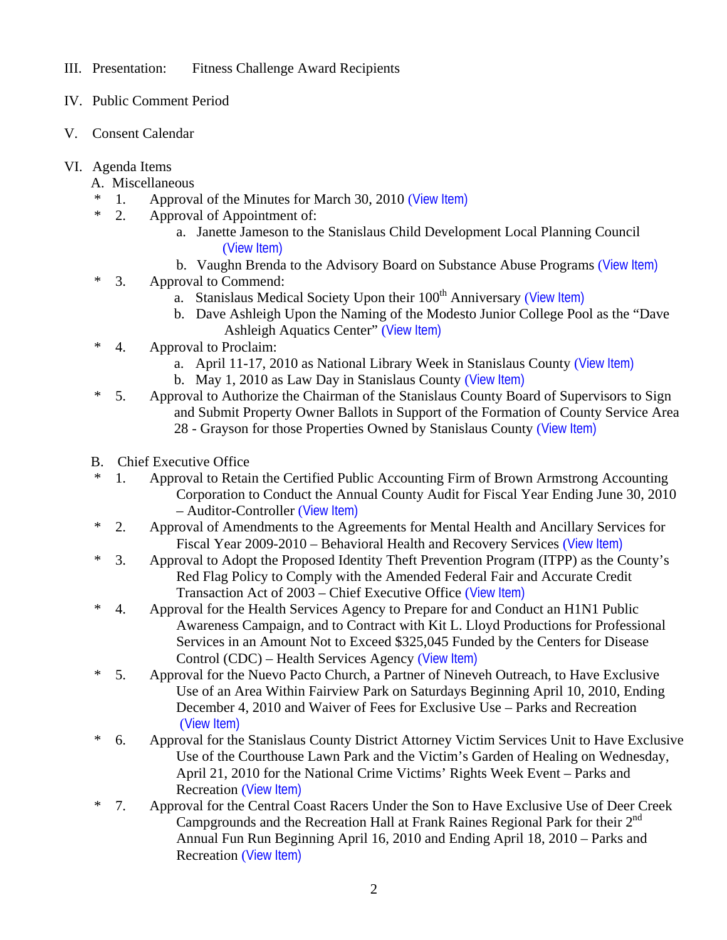- III. Presentation: Fitness Challenge Award Recipients
- IV. Public Comment Period
- V. Consent Calendar
- VI. Agenda Items
	- A. Miscellaneous
	- \* 1. Approval of the Minutes for March 30, 2010 ([View Item\)](http://www.stancounty.com/bos/minutes/2010/min03-30-10.pdf)
	- \* 2. Approval of Appointment of:
		- a. Janette Jameson to the Stanislaus Child Development Local Planning Council ([View Item\)](http://www.stancounty.com/bos/agenda/2010/20100406/A02a.pdf)
		- b. Vaughn Brenda to the Advisory Board on Substance Abuse Programs ([View Item\)](http://www.stancounty.com/bos/agenda/2010/20100406/A02b.pdf)
	- \* 3. Approval to Commend:
		- a. Stanislaus Medical Society Upon their 100<sup>th</sup> Anniversary ([View Item\)](http://www.stancounty.com/bos/agenda/2010/20100406/A03a.pdf)
		- b. Dave Ashleigh Upon the Naming of the Modesto Junior College Pool as the "Dave Ashleigh Aquatics Center" ([View Item\)](http://www.stancounty.com/bos/agenda/2010/20100406/A03b.pdf)
	- \* 4. Approval to Proclaim:
		- a. April 11-17, 2010 as National Library Week in Stanislaus County ([View Item\)](http://www.stancounty.com/bos/agenda/2010/20100406/A04a.pdf)
		- b. May 1, 2010 as Law Day in Stanislaus County ([View Item\)](http://www.stancounty.com/bos/agenda/2010/20100406/A04b.pdf)
	- \* 5. Approval to Authorize the Chairman of the Stanislaus County Board of Supervisors to Sign and Submit Property Owner Ballots in Support of the Formation of County Service Area 28 - Grayson for those Properties Owned by Stanislaus County ([View Item\)](http://www.stancounty.com/bos/agenda/2010/20100406/A05.pdf)
	- B. Chief Executive Office
	- \* 1. Approval to Retain the Certified Public Accounting Firm of Brown Armstrong Accounting Corporation to Conduct the Annual County Audit for Fiscal Year Ending June 30, 2010 – Auditor-Controller ([View Item\)](http://www.stancounty.com/bos/agenda/2010/20100406/B01.pdf)
	- \* 2. Approval of Amendments to the Agreements for Mental Health and Ancillary Services for Fiscal Year 2009-2010 – Behavioral Health and Recovery Services ([View Item\)](http://www.stancounty.com/bos/agenda/2010/20100406/B02.pdf)
	- \* 3. Approval to Adopt the Proposed Identity Theft Prevention Program (ITPP) as the County's Red Flag Policy to Comply with the Amended Federal Fair and Accurate Credit Transaction Act of 2003 – Chief Executive Office ([View Item\)](http://www.stancounty.com/bos/agenda/2010/20100406/B03.pdf)
	- \* 4. Approval for the Health Services Agency to Prepare for and Conduct an H1N1 Public Awareness Campaign, and to Contract with Kit L. Lloyd Productions for Professional Services in an Amount Not to Exceed \$325,045 Funded by the Centers for Disease Control (CDC) – Health Services Agency ([View Item\)](http://www.stancounty.com/bos/agenda/2010/20100406/B04.pdf)
	- \* 5. Approval for the Nuevo Pacto Church, a Partner of Nineveh Outreach, to Have Exclusive Use of an Area Within Fairview Park on Saturdays Beginning April 10, 2010, Ending December 4, 2010 and Waiver of Fees for Exclusive Use – Parks and Recreation ([View Item\)](http://www.stancounty.com/bos/agenda/2010/20100406/B05.pdf)
	- \* 6. Approval for the Stanislaus County District Attorney Victim Services Unit to Have Exclusive Use of the Courthouse Lawn Park and the Victim's Garden of Healing on Wednesday, April 21, 2010 for the National Crime Victims' Rights Week Event – Parks and Recreation ([View Item\)](http://www.stancounty.com/bos/agenda/2010/20100406/B06.pdf)
	- \* 7. Approval for the Central Coast Racers Under the Son to Have Exclusive Use of Deer Creek Campgrounds and the Recreation Hall at Frank Raines Regional Park for their  $2^{nd}$ Annual Fun Run Beginning April 16, 2010 and Ending April 18, 2010 – Parks and Recreation ([View Item\)](http://www.stancounty.com/bos/agenda/2010/20100406/B07.pdf)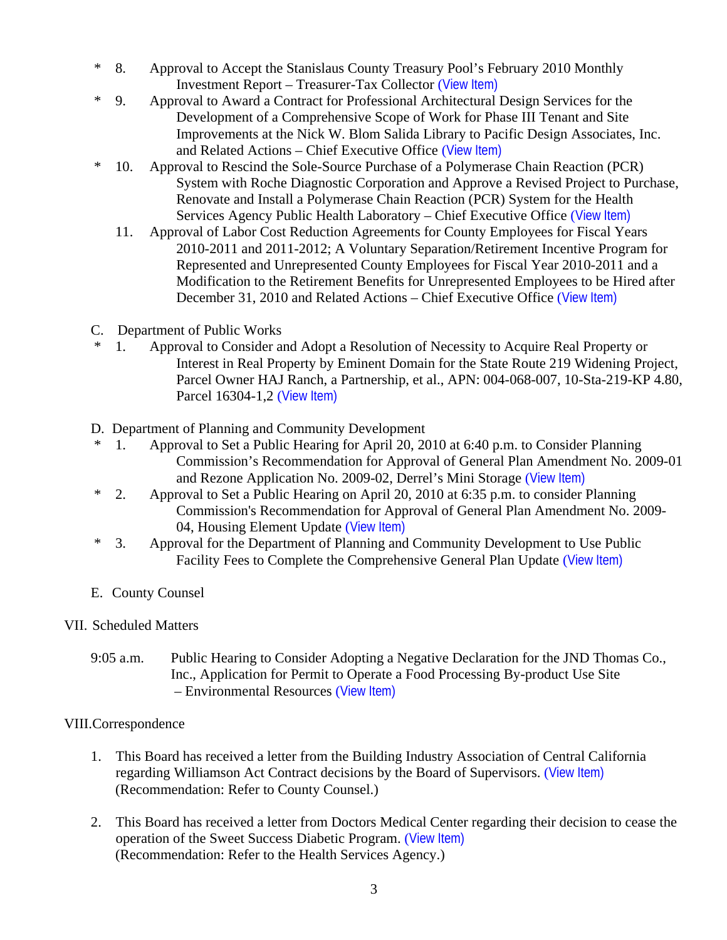- \* 8. Approval to Accept the Stanislaus County Treasury Pool's February 2010 Monthly Investment Report – Treasurer-Tax Collector ([View Item\)](http://www.stancounty.com/bos/agenda/2010/20100406/B08.pdf)
- \* 9. Approval to Award a Contract for Professional Architectural Design Services for the Development of a Comprehensive Scope of Work for Phase III Tenant and Site Improvements at the Nick W. Blom Salida Library to Pacific Design Associates, Inc. and Related Actions – Chief Executive Office ([View Item\)](http://www.stancounty.com/bos/agenda/2010/20100406/B09.pdf)
- \* 10. Approval to Rescind the Sole-Source Purchase of a Polymerase Chain Reaction (PCR) System with Roche Diagnostic Corporation and Approve a Revised Project to Purchase, Renovate and Install a Polymerase Chain Reaction (PCR) System for the Health Services Agency Public Health Laboratory – Chief Executive Office ([View Item\)](http://www.stancounty.com/bos/agenda/2010/20100406/B10.pdf)
	- 11. Approval of Labor Cost Reduction Agreements for County Employees for Fiscal Years 2010-2011 and 2011-2012; A Voluntary Separation/Retirement Incentive Program for Represented and Unrepresented County Employees for Fiscal Year 2010-2011 and a Modification to the Retirement Benefits for Unrepresented Employees to be Hired after December 31, 2010 and Related Actions – Chief Executive Office ([View Item\)](http://www.stancounty.com/bos/agenda/2010/20100406/B11.pdf)
- C. Department of Public Works
- \* 1. Approval to Consider and Adopt a Resolution of Necessity to Acquire Real Property or Interest in Real Property by Eminent Domain for the State Route 219 Widening Project, Parcel Owner HAJ Ranch, a Partnership, et al., APN: 004-068-007, 10-Sta-219-KP 4.80, Parcel 16304-1,2 ([View Item\)](http://www.stancounty.com/bos/agenda/2010/20100406/C01.pdf)
- D. Department of Planning and Community Development
- \* 1. Approval to Set a Public Hearing for April 20, 2010 at 6:40 p.m. to Consider Planning Commission's Recommendation for Approval of General Plan Amendment No. 2009-01 and Rezone Application No. 2009-02, Derrel's Mini Storage ([View Item\)](http://www.stancounty.com/bos/agenda/2010/20100406/D01.pdf)
- \* 2. Approval to Set a Public Hearing on April 20, 2010 at 6:35 p.m. to consider Planning Commission's Recommendation for Approval of General Plan Amendment No. 2009- 04, Housing Element Update ([View Item\)](http://www.stancounty.com/bos/agenda/2010/20100406/D02.pdf)
- \* 3. Approval for the Department of Planning and Community Development to Use Public Facility Fees to Complete the Comprehensive General Plan Update ([View Item\)](http://www.stancounty.com/bos/agenda/2010/20100406/D03.pdf)
- E. County Counsel

## VII. Scheduled Matters

9:05 a.m. Public Hearing to Consider Adopting a Negative Declaration for the JND Thomas Co., Inc., Application for Permit to Operate a Food Processing By-product Use Site – Environmental Resources ([View Item\)](http://www.stancounty.com/bos/agenda/2010/20100406/PH905.pdf)

# VIII.Correspondence

- 1. This Board has received a letter from the Building Industry Association of Central California regarding Williamson Act Contract decisions by the Board of Supervisors. ([View Item\)](http://www.stancounty.com/bos/agenda/2010/20100406/Corr01.pdf) (Recommendation: Refer to County Counsel.)
- 2. This Board has received a letter from Doctors Medical Center regarding their decision to cease the operation of the Sweet Success Diabetic Program. ([View Item\)](http://www.stancounty.com/bos/agenda/2010/20100406/Corr02.pdf) (Recommendation: Refer to the Health Services Agency.)